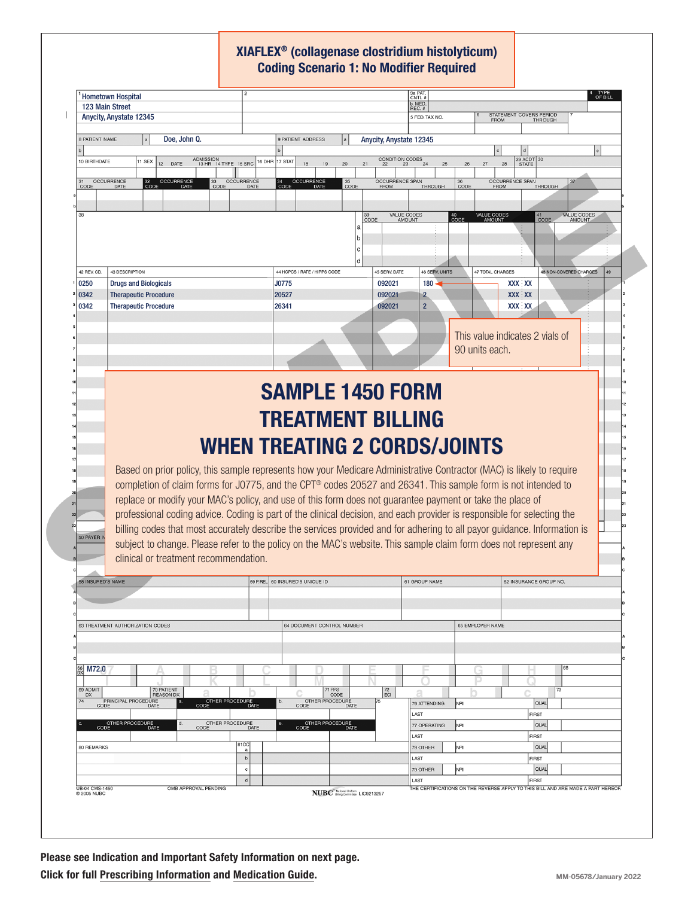## XIAFLEX® (collagenase clostridium histolyticum) Coding Scenario 1: No Modifier Required

|                                                       | <b>Hometown Hospital</b>                                                                                                 |                                        | 3a PAT.<br>CNTL #                                 |                                        |                                                                                  |
|-------------------------------------------------------|--------------------------------------------------------------------------------------------------------------------------|----------------------------------------|---------------------------------------------------|----------------------------------------|----------------------------------------------------------------------------------|
|                                                       | 123 Main Street                                                                                                          |                                        | b. MED.<br>REC. #                                 |                                        |                                                                                  |
|                                                       | <b>Anycity, Anystate 12345</b>                                                                                           |                                        | 5 FED. TAX NO.                                    | STATEMENT COVERS PERIOD<br><b>FROM</b> | <b>THROUGH</b>                                                                   |
| 8 PATIENT NAME                                        | Doe. John Q.                                                                                                             | 9 PATIENT ADDRESS                      | Anycity, Anystate 12345                           |                                        |                                                                                  |
|                                                       |                                                                                                                          |                                        |                                                   |                                        |                                                                                  |
| 10 BIRTHDATE                                          | ADMISSION<br>13 HR 14 TYPE 15 SRC<br>11 SEX<br>12<br>DATE                                                                | 17 STAT<br>16 DHR<br>18<br>19<br>20    | CONDITION CODES<br>21<br>24<br>25<br>23           | 29 ACDT 30<br>26<br>27<br>28           |                                                                                  |
|                                                       | <b>OCCURRENCE</b><br>32 OCCURRENCE<br>CODE DATE<br><b>OCCURRENCE</b><br>33                                               | OCCURRENCE<br>35<br>CODE<br>34<br>CODE | <b>OCCURRENCE SPAN</b>                            | <b>OCCURRENCE SPAN</b><br>$36$<br>CODE |                                                                                  |
| CODE                                                  | DATE<br>CODE<br>DATE                                                                                                     |                                        | THROUGH<br><b>FROM</b>                            | <b>FROM</b>                            | <b>THROUGH</b>                                                                   |
|                                                       |                                                                                                                          |                                        |                                                   |                                        |                                                                                  |
| 38                                                    |                                                                                                                          |                                        | <b>VALUE CODES</b><br>39<br>CODE<br><b>AMOUNT</b> | VALUE CODES<br>AMOUNT<br>40<br>CODE    | VALUE CODES<br>41<br>CODE<br><b>AMOUNT</b>                                       |
|                                                       |                                                                                                                          |                                        |                                                   |                                        |                                                                                  |
|                                                       |                                                                                                                          |                                        |                                                   |                                        |                                                                                  |
| 42 REV. CD.                                           | 43 DESCRIPTION                                                                                                           | d<br>44 HCPCS / RATE / HIPPS CODE      | 45 SERV. DATE<br><b>46 SERV. UNITS</b>            | 47 TOTAL CHARGES                       | 48 NON-COVERED CHARGES<br>49                                                     |
| 0250                                                  | <b>Drugs and Biologicals</b>                                                                                             | J0775                                  | 092021<br>180                                     | <b>XXX XX</b>                          |                                                                                  |
| 0342                                                  | <b>Therapeutic Procedure</b>                                                                                             | 20527                                  | 092021<br>$\mathbf{2}$                            | <b>XXX XX</b>                          |                                                                                  |
| 0342                                                  | <b>Therapeutic Procedure</b>                                                                                             | 26341                                  | $\overline{2}$<br>092021                          | <b>XXX XX</b>                          |                                                                                  |
|                                                       |                                                                                                                          |                                        |                                                   |                                        |                                                                                  |
|                                                       |                                                                                                                          |                                        |                                                   | This value indicates 2 vials of        |                                                                                  |
|                                                       |                                                                                                                          |                                        |                                                   | 90 units each.                         |                                                                                  |
|                                                       |                                                                                                                          |                                        |                                                   |                                        |                                                                                  |
|                                                       |                                                                                                                          |                                        |                                                   |                                        |                                                                                  |
|                                                       | <b>SAMPLE 1450 FORM</b>                                                                                                  |                                        |                                                   |                                        |                                                                                  |
|                                                       |                                                                                                                          |                                        |                                                   |                                        |                                                                                  |
|                                                       | <b>TREATMENT BILLING</b>                                                                                                 |                                        |                                                   |                                        |                                                                                  |
|                                                       |                                                                                                                          |                                        |                                                   |                                        |                                                                                  |
|                                                       |                                                                                                                          |                                        |                                                   |                                        |                                                                                  |
|                                                       |                                                                                                                          | <b>WHEN TREATING 2 CORDS/JOINTS</b>    |                                                   |                                        |                                                                                  |
|                                                       |                                                                                                                          |                                        |                                                   |                                        |                                                                                  |
|                                                       | Based on prior policy, this sample represents how your Medicare Administrative Contractor (MAC) is likely to require     |                                        |                                                   |                                        |                                                                                  |
|                                                       | completion of claim forms for J0775, and the CPT® codes 20527 and 26341. This sample form is not intended to             |                                        |                                                   |                                        |                                                                                  |
|                                                       | replace or modify your MAC's policy, and use of this form does not guarantee payment or take the place of                |                                        |                                                   |                                        |                                                                                  |
|                                                       | professional coding advice. Coding is part of the clinical decision, and each provider is responsible for selecting the  |                                        |                                                   |                                        |                                                                                  |
|                                                       | billing codes that most accurately describe the services provided and for adhering to all payor guidance. Information is |                                        |                                                   |                                        |                                                                                  |
|                                                       | subject to change. Please refer to the policy on the MAC's website. This sample claim form does not represent any        |                                        |                                                   |                                        |                                                                                  |
|                                                       | clinical or treatment recommendation.                                                                                    |                                        |                                                   |                                        |                                                                                  |
|                                                       |                                                                                                                          | 59 P.REL 60 INSURED'S UNIQUE ID        | 61 GROUP NAME                                     | 62 INSURANCE GROUP NO.                 |                                                                                  |
|                                                       |                                                                                                                          |                                        |                                                   |                                        |                                                                                  |
|                                                       |                                                                                                                          |                                        |                                                   |                                        |                                                                                  |
|                                                       | 63 TREATMENT AUTHORIZATION CODES                                                                                         | 64 DOCUMENT CONTROL NUMBER             |                                                   | 65 EMPLOYER NAME                       |                                                                                  |
|                                                       |                                                                                                                          |                                        |                                                   |                                        |                                                                                  |
| 50 PAYER<br><b>58 INSURED'S NAME</b>                  |                                                                                                                          |                                        |                                                   |                                        |                                                                                  |
| 66<br>DX<br>M72.0                                     |                                                                                                                          |                                        |                                                   |                                        | 68                                                                               |
|                                                       |                                                                                                                          |                                        |                                                   |                                        |                                                                                  |
| <b>DX</b>                                             | 70 PATIENT<br><b>REASON DX</b>                                                                                           | 71 PPS<br>CODE<br>b.                   | $72\,$<br>Ω<br>ECI                                |                                        | 73                                                                               |
|                                                       | OTHER PROCEDURE<br>CODE DATE<br>PRINCIPAL PROCEDURE<br>CODE DATE                                                         | OTHER PROCEDURE<br>CODE DATE           | 76 ATTENDING<br>LAST                              | <b>NPI</b><br><b>FIRST</b>             | QUAL                                                                             |
|                                                       | OTHER PROCEDURE<br>CODE DATE<br>OTHER PROCEDURE<br>CODE DATE<br>d.                                                       | OTHER PROCEDURE<br>CODE DATE           | 77 OPERATING                                      | NPI                                    | QUAL                                                                             |
|                                                       |                                                                                                                          |                                        | LAST                                              | <b>FIRST</b>                           |                                                                                  |
|                                                       | 81CC<br>a<br>$\mathsf b$                                                                                                 |                                        | 78 OTHER                                          | NPI                                    | <b>QUAL</b>                                                                      |
|                                                       | $^{\rm c}$                                                                                                               |                                        | LAST<br>79 OTHER                                  | <b>FIRST</b><br>NPI                    | QUAL                                                                             |
| 69 ADMIT<br>74<br>80 REMARKS<br><b>UB-04 CMS-1450</b> | $\mathsf d$<br>OMB APPROVAL PENDING                                                                                      |                                        | LAST                                              | <b>FIRST</b>                           | THE CERTIFICATIONS ON THE REVERSE APPLY TO THIS BILL AND ARE MADE A PART HEREOF. |

Please see Indication and Important Safety Information on next page. Click for full P[rescribing Information](https://endodocuments.com/XIAFLEX/PI) and [Medication Guide](https://endodocuments.com/XIAFLEX/MG).